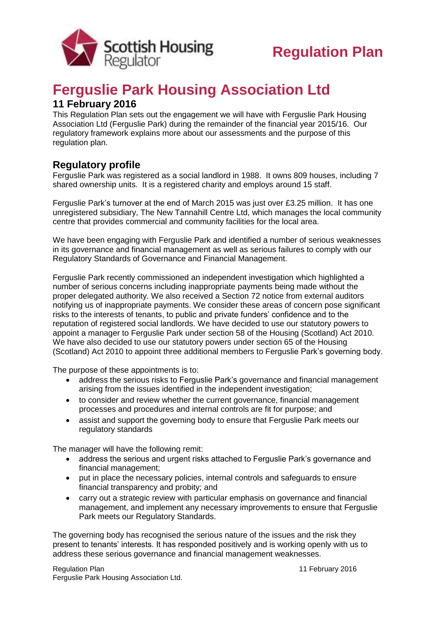

## **Ferguslie Park Housing Association Ltd**

## **11 February 2016**

This Regulation Plan sets out the engagement we will have with Ferguslie Park Housing Association Ltd (Ferguslie Park) during the remainder of the financial year 2015/16. Our regulatory framework explains more about our assessments and the purpose of this regulation plan.

## **Regulatory profile**

Ferguslie Park was registered as a social landlord in 1988. It owns 809 houses, including 7 shared ownership units. It is a registered charity and employs around 15 staff.

Ferguslie Park's turnover at the end of March 2015 was just over £3.25 million. It has one unregistered subsidiary, The New Tannahill Centre Ltd, which manages the local community centre that provides commercial and community facilities for the local area.

We have been engaging with Ferguslie Park and identified a number of serious weaknesses in its governance and financial management as well as serious failures to comply with our Regulatory Standards of Governance and Financial Management.

Ferguslie Park recently commissioned an independent investigation which highlighted a number of serious concerns including inappropriate payments being made without the proper delegated authority. We also received a Section 72 notice from external auditors notifying us of inappropriate payments. We consider these areas of concern pose significant risks to the interests of tenants, to public and private funders' confidence and to the reputation of registered social landlords. We have decided to use our statutory powers to appoint a manager to Ferguslie Park under section 58 of the Housing (Scotland) Act 2010. We have also decided to use our statutory powers under section 65 of the Housing (Scotland) Act 2010 to appoint three additional members to Ferguslie Park's governing body.

The purpose of these appointments is to:

- address the serious risks to Ferguslie Park's governance and financial management arising from the issues identified in the independent investigation;
- to consider and review whether the current governance, financial management processes and procedures and internal controls are fit for purpose; and
- assist and support the governing body to ensure that Ferguslie Park meets our regulatory standards

The manager will have the following remit:

- address the serious and urgent risks attached to Ferguslie Park's governance and financial management;
- put in place the necessary policies, internal controls and safeguards to ensure financial transparency and probity; and
- carry out a strategic review with particular emphasis on governance and financial management, and implement any necessary improvements to ensure that Ferguslie Park meets our Regulatory Standards.

The governing body has recognised the serious nature of the issues and the risk they present to tenants' interests. It has responded positively and is working openly with us to address these serious governance and financial management weaknesses.